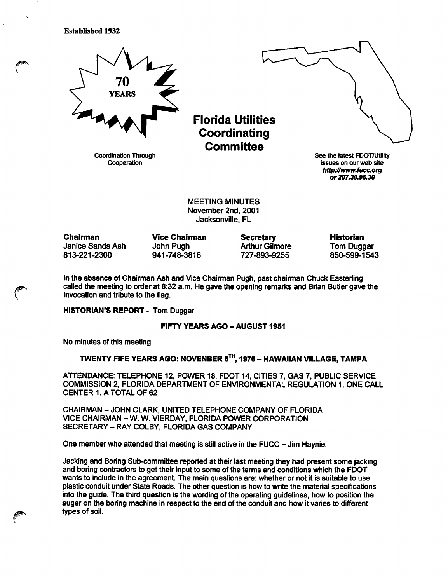Established 1932



Coordination Through **Cooperation** 

Florida Utilities Coordinating **Committee** 

See the latest FDOT/Utility issues on our web site http://www.fucc.org or 207.30.96.30

MEETING MINUTES November 2nd, 2001 Jacksonville, FL

Chairman Janice Sands Ash 813-221-2300

Vice Chairman John Pugh 941-748-3816

**Secretary** Arthur Gilmore 727-893-9255

Historian Tom Duggar 850-599-1543

In the absence of Chairman Ash and Vice Chairman Pugh, past chairman Chuck Easterling called the meeting to order at 8:32 a.m. He gave the opening remarks and Brian Butler gave the invocation and tribute to the flag.

HISTORIAN'S REPORT - Tom Duggar

**FIFTY YEARS AGO - AUGUST 1951** 

No minutes of this meeting

# TWENTY FIFE YEARS AGO: NOVENBER 5^", 1976 - HAWAIIAN VILLAGE, TAMPA

ATTENDANCE: TELEPHONE 12, POWER 18, FDOT 14, CITIES 7, GAS 7, PUBLIC SERVICE COMMISSION 2, FLORIDA DEPARTMENT OF ENVIRONMENTAL REGULATION 1. ONE CALL CENTER 1. A TOTAL OF 62

CHAIRMAN - JOHN CLARK, UNITED TELEPHONE COMPANY OF FLORIDA VICE CHAIRMAN - W. W. VIERDAY, FLORIDA POWER CORPORATION SECRETARY - RAY COLBY, FLORIDA GAS COMPANY

One member who attended that meeting is still active in the FUCC - Jim Haynie.

Jacking and Boring Sub-committee reported at their last meeting they had present some jacking and boring contractors to get their input to some of the terms and conditions which the FDOT wants to include in the agreement. The main questions are: whether or not it is suitable to use plastic conduit under State Roads. The other question is how to write the material specifications into the guide. The third question is the wording of the operating guidelines, how to position the auger on the boring machine in respect to the end of the conduit and how it varies to different types of soil.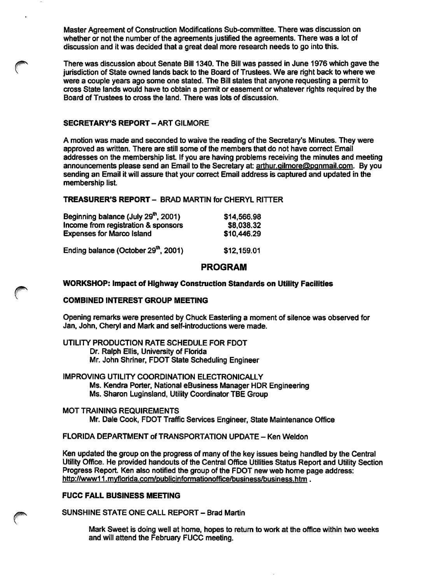Master Agreement of Construction Modifications Sub-committee. There was discussion on whether or not the number of the agreements justified the agreements. There was a iot of discussion and it was decided that a great deal more research needs to go into this.

There was discussion about Senate Bill 1340. The Bill was passed in June 1976 which gave the jurisdiction of State owned lands back to the Board of Trustees. We are right back to where we were a couple years ago some one stated. The Bill states that anyone requesting a permit to cross State lands would have to obtain a permit or easement or whatever rights required by the Board of Trustees to cross the land. There was lots of discussion.

#### SECRETARY'S REPORT - ART GILMORE

A motion was made and seconded to waive the reading of the Secretary's Minutes. They were approved as written. There are stiil some of the members that do not have correct Email addresses on the membership list. If you are having problems receiving the minutes and meeting announcements please send an Email to the Secretary at: arthur.ailmore@Danmail.com. By you sending an Email it will assure that your correct Email address is captured and updated in the membership list

## TREASURER'S REPORT - BRAD MARTIN for CHERYL RITTER

| Beginning balance (July 29 <sup>th</sup> , 2001) | \$14,566.98 |
|--------------------------------------------------|-------------|
| Income from registration & sponsors              | \$8,038.32  |
| <b>Expenses for Marco Island</b>                 | \$10,446.29 |
| Ending balance (October 29 <sup>th</sup> , 2001) | \$12,159.01 |

## PROGRAM

#### WORKSHOP: Impact of Highway Construction Standards on Utility Facilities

## COMBINED INTEREST GROUP MEETING

Opening remarks were presented by Chuck Easterling a moment of silence was observed for Jan, John, Cheryl and Mark and self-introductions were made.

UTILITY PRODUCTION RATE SCHEDULE FOR FDOT Dr. Ralph Ellis, University of Florida Mr. John Shriner, FDOT State Scheduling Engineer

IMPROVING UTILITY COORDINATION ELECTRONICALLY Ms. Kendra Porter, National eBusiness Manager HDR Engineering Ms. Sharon Luginsland, Utiiity Coordinator TBE Group

MOT TRAINING REQUIREMENTS Mr. Dale Cook, FDOT Traffic Services Engineer, State Maintenance Office

FLORIDA DEPARTMENT of TRANSPORTATION UPDATE - Ken Weldon

Ken updated the group on the progress of many of the key issues being handled by the Central Utility Office. He provided handouts of the Centrai Office Utilities Status Report and Utiiity Section Progress Report. Ken also notified the group of the FDOT new web home page address: http://www11.myflorida.com/publicinformationoffice/business/business.htm.

## FUCC FALL BUSINESS MEETING

SUNSHINE STATE ONE CALL REPORT - Brad Martin

Mark Sweet is doing well at home, hopes to return to work at the office within two weeks and wiil attend the February FUCC meeting.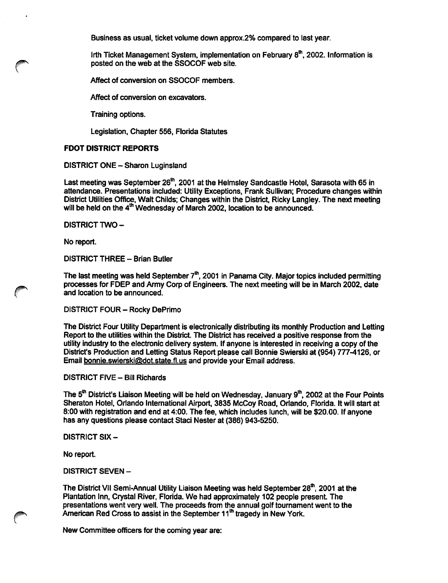Business as usual, ticket volume down approx.2% compared to last year.

Irth Ticket Management System, implementation on February 8<sup>th</sup>, 2002. Information is posted on the web at the SSOCOF web site.

Affect of conversion on SSOCOF members.

Affect of conversion on excavators.

Training options.

Legislation, Chapter 556, Florida Statutes

## FOOT DISTRICT REPORTS

#### DISTRICT ONE - Sharon Luginsland

Last meeting was September 26<sup>th</sup>, 2001 at the Helmsley Sandcastle Hotel, Sarasota with 65 in attendance. Presentations included: Utility Exceptions, Frank Sullivan; Procedure changes within District Utilities Office, Walt Childs; Changes within the District, Ricky Langley. The next meeting will be held on the 4\*" Wednesday of March 2002, location to be announced.

DISTRICT TWO-

No report.

DISTRICT THREE - Brian Butler

The last meeting was held September  $7<sup>th</sup>$ , 2001 in Panama City. Major topics included permitting processes for FDEP and Army Corp of Engineers. The next meeting will be in March 2002, date and location to be announced.

DISTRICT FOUR - Rocky DePrimo

The District Four Utility Department is electronically distributing its monthly Production and Letting Report to the utilities within the District The District has received a positive response from the utility industry to the electronic delivery system. If anyone is interested in receiving a copy of the District's Production and Letting Status Report please call Bonnie Swierski at (954) 777-4126, or Email bonnie.swierski@dot.state.fl. us and provide your Email address.

#### DISTRICT FIVE - Bill Richards

The 5<sup>th</sup> District's Liaison Meeting will be held on Wednesday, January 9<sup>th</sup>, 2002 at the Four Points Sheraton Hotel, Orlando International Airport, 3835 McCoy Road, Orlando, Florida. It will start at 8:00 with registration and end at 4:00. The fee, which includes lunch, will be \$20.00. If anyone has any questions please contact Staci Nester at (386) 943-5250.

#### DISTRICT SIX-

No report.

DISTRICT SEVEN -

The District VII Semi-Annual Utility Liaison Meeting was held September 28"', 2001 at the Plantation Inn, Crystal River, Florida. We had approximately 102 people present. The presentations went very well. The proceeds from the annual golf tournament went to the American Red Cross to assist in the September 11<sup>th</sup> tragedy in New York.

New Committee officers for the coming year are: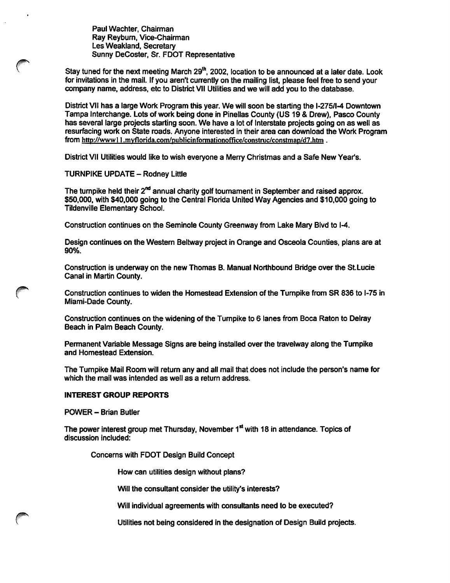Paul Wachter, Chairman Ray Reybum, Vice-Chairman Les Weakland, Secretary Sunny DeCoster, Sr. FOOT Representative

Stay tuned for the next meeting March 29<sup>th</sup>, 2002, location to be announced at a later date. Look for invitations in the mail. If you aren't currently on the mailing list, please feel free to send your company name, address, etc to District VII Utilities and we will add you to the database.

District VII has a large Work Program this year. We will soon be starting the 1-275/1-4 Downtown Tampa Interchange. Lots of work being done in Pineilas County (US 19 & Drew), Pasco County has several large projects starting soon. We have a lot of Interstate projects going on as well as resurfacing work on State roads. Anyone interested in their area can download the Work Program from http://www11.myflorida.com/publicinformationoffice/construc/constmap/d7.htm.

District VII Utilities would like to wish everyone a Merry Christmas and a Safe New Year's.

**TURNPIKE UPDATE - Rodney Little** 

The turnpike held their  $2<sup>nd</sup>$  annual charity golf tournament in September and raised approx. \$50,000, with \$40,000 going to the Central Florida United Way Agencies and \$10,000 going to Tildenville Elementary School.

Construction continues on the Seminole County Greenway from Lake Mary Bivd to 1-4.

Design continues on the Westem Beltway project in Orange and Osceola Counties, plans are at 90%.

Construction is underway on the new Thomas B. Manual Northbound Bridge over the StLucie Canal in Martin County.

Construction continues to widen the Homestead Extension of the Turnpike from SR 836 to 1-75 in Miami-Dade County.

Construction continues on the widening of the Turnpike to 6 lanes from Boca Raton to Deiray Beach in Palm Beach County.

Permanent Variable Message Signs are being installed over the travelway along the Tumpike and Homestead Extension.

The Tumpike Mail Room will return any and all mail that does not include the person's name for which the mail was intended as well as a return address.

#### INTEREST GROUP REPORTS

POWER - Brian Butler

The power interest group met Thursday, November  $1<sup>st</sup>$  with 18 in attendance. Topics of discussion included:

Concerns with FDOT Design Build Concept

How can utilities design without plans?

Will the consultant consider the utility's interests?

Will individual agreements with consultants need to be executed?

Utilities not being considered in the designation of Design Build projects.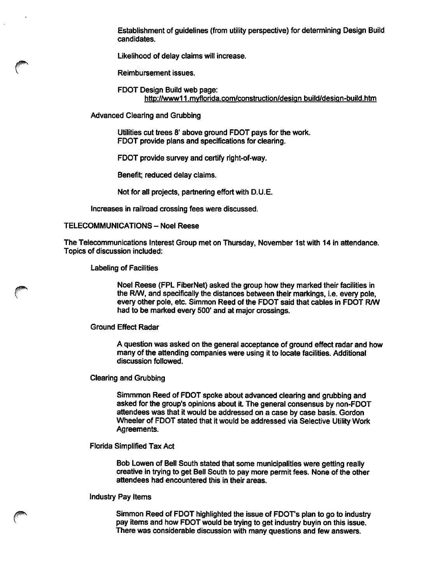Establishment of guidelines (from utility perspective) for determining Design Build candidates.

Likelihood of delay claims will increase.

Reimbursement issues.

FOOT Design Build web page: http://www11.mvflorida.com/construction/design build/design-build.htm

Advanced Clearing and Grubbing

Utilities cut trees 8' above ground FDOT pays for the work. FDOT provide plans and specifications for clearing.

FDOT provide survey and certify right-of-way.

Benefit; reduced delay claims.

Not for all projects, partnering effort with D.U.E.

Increases in railroad crossing fees were discussed.

#### TELECOMMUNICATIONS - Noel Reese

The Telecommunications Interest Group met on Thursday, November 1st with 14 in attendance. Topics of discussion included:

Labeling of Facilities

Noel Reese (FPL FiberNet) asked the group how they marked their fecilities in the R/W, and specifically the distances between their markings, i.e. every pole, every other pole, etc. Simmon Reed of the FDOT said that cables in FDOT R/W had to be marked every 500' and at major crossings.

#### Ground Effect Radar

A question was asked on the general acceptance of ground effect radar and how many of the attending companies were using it to locate facilities. Additional discussion followed.

Clearing and Grubbing

Simmmon Reed of FDOT spoke about advanced clearing and grubbing and asked for the group's opinions about it. The general consensus by non-FDOT attendees was that it would be addressed on a case by case basis. Gordon Wheeler of FDOT stated that it would be addressed via Selective Utility Work Agreements.

Florida Simplified Tax Act

Bob Lowen of Bell South stated that some municipalities were getting really creative in trying to get Bell South to pay more permit fees. None of the other attendees had encountered this in their areas.

#### Industry Pay Items

Simmon Reed of FDOT highlighted the issue of FDOT's plan to go to industry pay items and how FDOT would be trying to get industry buyin on this issue. There was considerable discussion with many questions and few answers.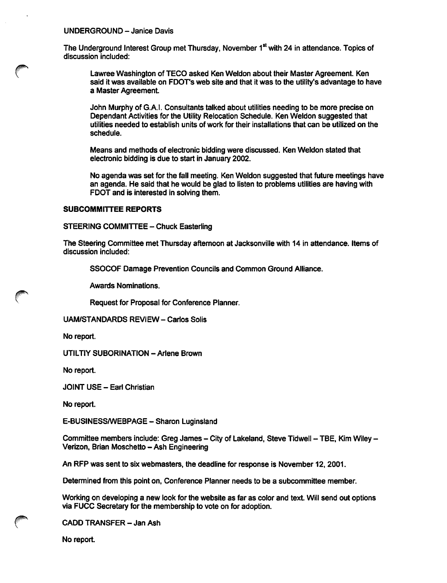#### UNDERGROUND - Janice Davis

The Underground Interest Group met Thursday, November 1<sup>st</sup> with 24 in attendance. Topics of discussion included:

Lawree Washington of TECO asked Ken Weldon about their Master Agreement. Ken said it was available on FDOT's web site and that it was to the utility's advantage to have a Master Agreement

John Murphy of G.A.I. Consultants talked about utilities needing to be more precise on Dependant Activities for the Utility Relocation Schedule. Ken Weldon suggested that utilities needed to establish units of work for their installations that can be utilized on the schedule.

Means and methods of electronic bidding were discussed. Ken Weldon stated that electronic bidding is due to start in January 2002.

No agenda was set for the fall meeting. Ken Weldon suggested that future meetings have an agenda. He said that he would be glad to listen to problems utilities are having with FDOT and is interested in solving them.

## SUBCOMMITTEE REPORTS

STEERING COMMITTEE - Chuck Easterling

The Steering Committee met Thursday aftemoon at Jacksonville with 14 in attendance. Items of discussion included:

SSOCOF Damage Prevention Councils and Common Ground Alliance.

Awards Nominations.

Request for Proposal for Conference Planner.

UAM/STANDARDS REVIEW - Carlos Solis

No report.

UTILTIY SUBORINATION - Arlene Brown

No report.

JOINT USE - Earl Christian

No report.

E-BUSINESS/WEBPAGE - Sharon Luginsland

Committee members include: Greg James - City of Lakeland, Steve Tidwell - TBE, Kim Wiley -Verizon, Brian Moschetto - Ash Engineering

An RFP was sent to six webmasters, the deadline for response is November 12,2001.

Determined from this point on. Conference Planner needs to be a subcommittee member.

Working on developing a new look for the website as far as color and text. Will send out options via FUCC Secretary for the membership to vote on for adoption.

CADD TRANSFER - Jan Ash

No report.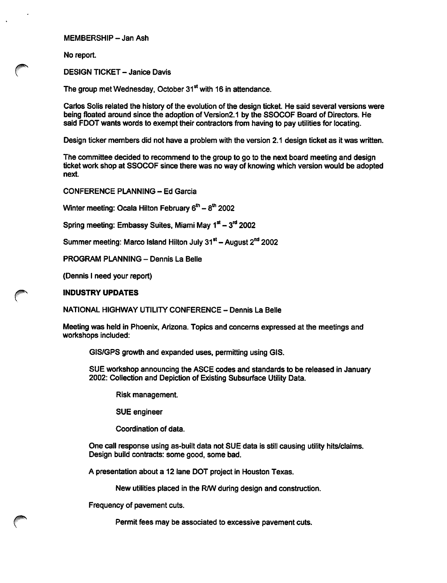MEMBERSHIP - Jan Ash

No report.

DESIGN TICKET - Janice Davis

The group met Wednesday, October 31<sup>st</sup> with 16 in attendance.

Carlos Soils related the history of the evolution of the design ticket. He said several versions were being floated around since the adoption of Version2.1 by the SSOCOF Board of Directors. He said FDOT wants words to exempt their contractors from having to pay utilities for locating.

Design ticker members did not have a problem with the version 2.1 design ticket as it was written.

The committee decided to recommend to the group to go to the next board meeting and design ticket work shop at SSOCOF since there was no way of knowing which version would be adopted next.

CONFERENCE PLANNING - Ed Garcia

Winter meeting: Ocala Hilton February  $6<sup>th</sup> - 8<sup>th</sup>$  2002

Spring meeting: Embassy Suites, Miami May 1<sup>st</sup> - 3<sup>rd</sup> 2002

Summer meeting: Marco Island Hilton July  $31<sup>st</sup> -$  August  $2<sup>nd</sup>$  2002

PROGRAM PLANNING - Dennis La Belle

(Dennis I need your report)

#### INDUSTRY UPDATES

NATIONAL HIGHWAY UTILITY CONFERENCE - Dennis La Belle

Meeting was held in Phoenix, Arizona. Topics and concems expressed at the meetings and workshops included:

GIS/GPS growth and expanded uses, permitting using GIS.

SUE workshop announcing the ASCE codes and standards to be released in January 2002: Collection and Depiction of Existing Subsurface Utility Data.

Risk management.

SUE engineer

Coordination of data.

One call response using as-built data not SUE data is still causing utility hits/claims. Design build contracts: some good, some bad.

A presentation about a 12 lane DOT project in Houston Texas.

New utilities placed in the R/W during design and construction.

Frequency of pavement cuts.

Permit fees may be associated to excessive pavement cuts.